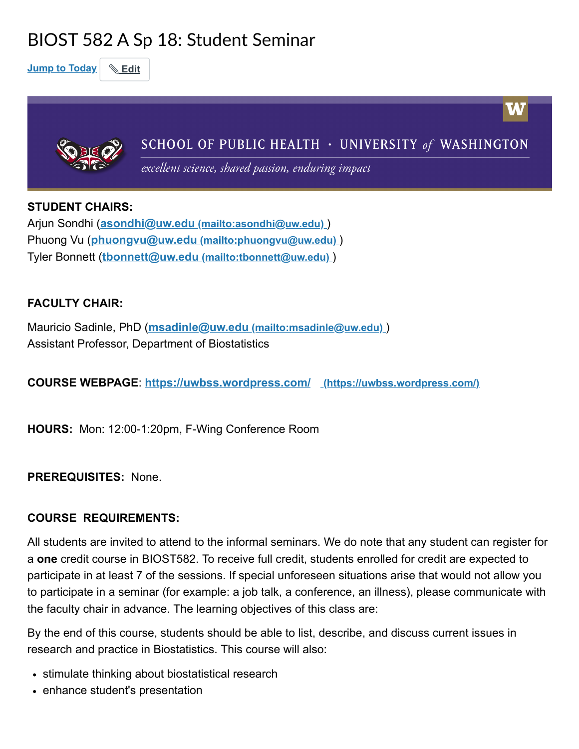# BIOST 582 A Sp 18: Student Seminar

Jump to Today | & Edit



STUDENT CHAIRS:

Arjun Sondhi (asondhi@uw.edu [\(mailto:asondhi@uw.edu\)](mailto:asondhi@uw.edu) ) Phuong Vu (phuongvu@uw.edu [\(mailto:phuongvu@uw.edu\)](mailto:phuongvu@uw.edu) ) Tyler Bonnett (tbonnett@uw.edu [\(mailto:tbonnett@uw.edu\)](mailto:tbonnett@uw.edu))

### FACULTY CHAIR:

Mauricio Sadinle, PhD (msadinle@uw.edu [\(mailto:msadinle@uw.edu\)](mailto:msadinle@uw.edu) ) Assistant Professor, Department of Biostatistics

COURSE WEBPAGE: <https://uwbss.wordpress.com/> (https://uwbss.wordpress.com/)

HOURS: Mon: 12:00-1:20pm, F-Wing Conference Room

PREREQUISITES: None.

### COURSE REQUIREMENTS:

All students are invited to attend to the informal seminars. We do note that any student can register for a one credit course in BIOST582. To receive full credit, students enrolled for credit are expected to participate in at least 7 of the sessions. If special unforeseen situations arise that would not allow you to participate in a seminar (for example: a job talk, a conference, an illness), please communicate with the faculty chair in advance. The learning objectives of this class are:

By the end of this course, students should be able to list, describe, and discuss current issues in research and practice in Biostatistics. This course will also:

- stimulate thinking about biostatistical research
- enhance student's presentation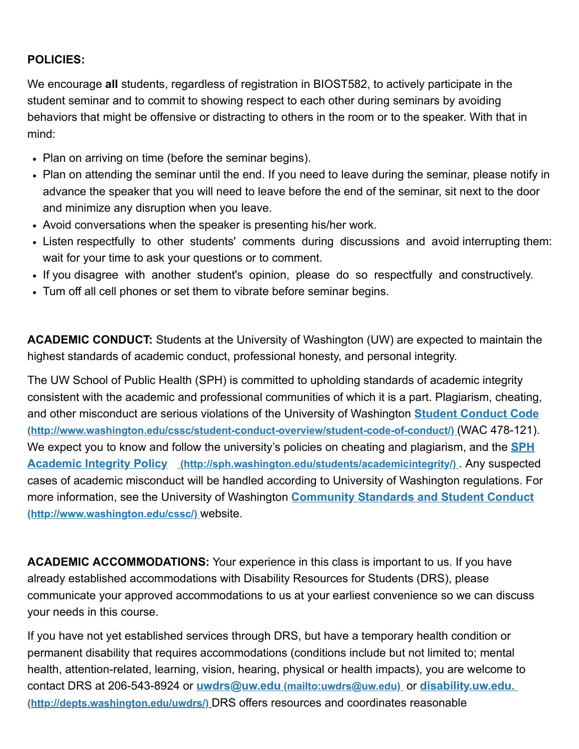#### POLICIES:

We encourage all students, regardless of registration in BIOST582, to actively participate in the student seminar and to commit to showing respect to each other during seminars by avoiding behaviors that might be offensive or distracting to others in the room or to the speaker. With that in mind:

- Plan on arriving on time (before the seminar begins).
- Plan on attending the seminar until the end. If you need to leave during the seminar, please notify in advance the speaker that you will need to leave before the end of the seminar, sit next to the door and minimize any disruption when you leave.
- Avoid conversations when the speaker is presenting his/her work.
- Listen respectfully to other students' comments during discussions and avoid interrupting them: wait for your time to ask your questions or to comment.
- If you disagree with another student's opinion, please do so respectfully and constructively.
- Tum off all cell phones or set them to vibrate before seminar begins.

ACADEMIC CONDUCT: Students at the University of Washington (UW) are expected to maintain the highest standards of academic conduct, professional honesty, and personal integrity.

The UW School of Public Health (SPH) is committed to upholding standards of academic integrity consistent with the academic and professional communities of which it is a part. Plagiarism, cheating, and other misconduct are serious violations of the University of Washington **Student Conduct Code** [\(http://www.washington.edu/cssc/student-conduct-overview/student-code-of-conduct/\)](http://www.washington.edu/cssc/student-conduct-overview/student-code-of-conduct/) (WAC 478-121). We expect you to know and follow the university's policies on cheating and plagiarism, and the **SPH** Academic Integrity Policy [\(http://sph.washington.edu/students/academicintegrity/\)](http://sph.washington.edu/students/academicintegrity/). Any suspected cases of academic misconduct will be handled according to University of Washington regulations. For more information, see the University of Washington **Community Standards and Student Conduct** [\(http://www.washington.edu/cssc/\)](http://www.washington.edu/cssc/) website.

ACADEMIC ACCOMMODATIONS: Your experience in this class is important to us. If you have already established accommodations with Disability Resources for Students (DRS), please communicate your approved accommodations to us at your earliest convenience so we can discuss your needs in this course.

If you have not yet established services through DRS, but have a temporary health condition or permanent disability that requires accommodations (conditions include but not limited to; mental health, attention-related, learning, vision, hearing, physical or health impacts), you are welcome to contact DRS at 206-543-8924 or uwdrs@uw.edu [\(mailto:uwdrs@uw.edu\)](mailto:uwdrs@uw.edu) or disability.uw.edu. [\(http://depts.washington.edu/uwdrs/\)](http://depts.washington.edu/uwdrs/) DRS offers resources and coordinates reasonable